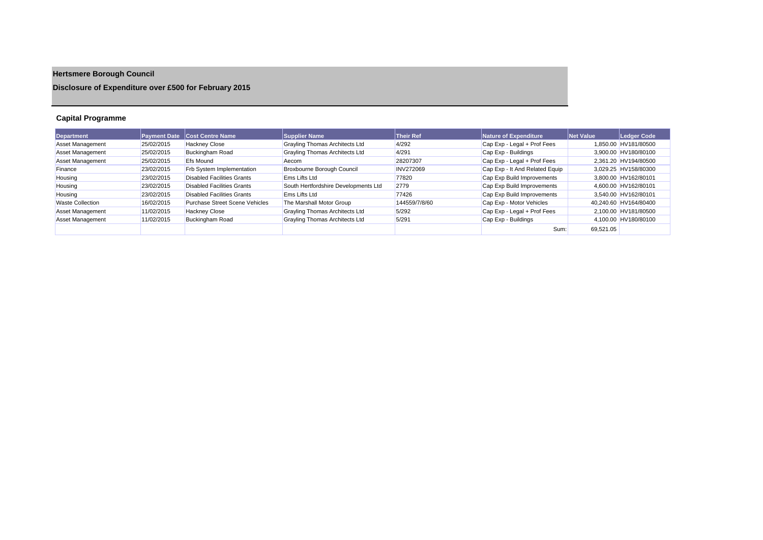# **Hertsmere Borough Council**

**Disclosure of Expenditure over £500 for February 2015**

## **Capital Programme**

| <b>Department</b>       | <b>Payment Date</b> | <b>Cost Centre Name</b>           | <b>Supplier Name</b>                  | <b>Their Ref</b> | Nature of Expenditure          | Net Value | Ledger Code           |
|-------------------------|---------------------|-----------------------------------|---------------------------------------|------------------|--------------------------------|-----------|-----------------------|
| <b>Asset Management</b> | 25/02/2015          | <b>Hackney Close</b>              | Grayling Thomas Architects Ltd        | 4/292            | Cap Exp - Legal + Prof Fees    |           | 1.850.00 HV181/80500  |
| <b>Asset Management</b> | 25/02/2015          | <b>Buckingham Road</b>            | <b>Grayling Thomas Architects Ltd</b> | 4/291            | Cap Exp - Buildings            |           | 3.900.00 HV180/80100  |
| <b>Asset Management</b> | 25/02/2015          | <b>Efs Mound</b>                  | Aecom                                 | 28207307         | Cap Exp - Legal + Prof Fees    |           | 2.361.20 HV194/80500  |
| Finance                 | 23/02/2015          | Frb System Implementation         | Broxbourne Borough Council            | <b>INV272069</b> | Cap Exp - It And Related Equip |           | 3.029.25 HV158/80300  |
| Housing                 | 23/02/2015          | <b>Disabled Facilities Grants</b> | <b>Ems Lifts Ltd</b>                  | 77820            | Cap Exp Build Improvements     |           | 3.800.00 HV162/80101  |
| Housing                 | 23/02/2015          | Disabled Facilities Grants        | South Hertfordshire Developments Ltd  | 2779             | Cap Exp Build Improvements     |           | 4.600.00 HV162/80101  |
| Housing                 | 23/02/2015          | <b>Disabled Facilities Grants</b> | <b>Ems Lifts Ltd</b>                  | 77426            | Cap Exp Build Improvements     |           | 3.540.00 HV162/80101  |
| <b>Waste Collection</b> | 16/02/2015          | Purchase Street Scene Vehicles    | The Marshall Motor Group              | 144559/7/8/60    | Cap Exp - Motor Vehicles       |           | 40.240.60 HV164/80400 |
| <b>Asset Management</b> | 11/02/2015          | <b>Hackney Close</b>              | Grayling Thomas Architects Ltd        | 5/292            | Cap Exp - Legal + Prof Fees    |           | 2.100.00 HV181/80500  |
| <b>Asset Management</b> | 11/02/2015          | <b>Buckingham Road</b>            | <b>Grayling Thomas Architects Ltd</b> | 5/291            | Cap Exp - Buildings            |           | 4.100.00 HV180/80100  |
|                         |                     |                                   |                                       |                  | Sum:                           | 69.521.05 |                       |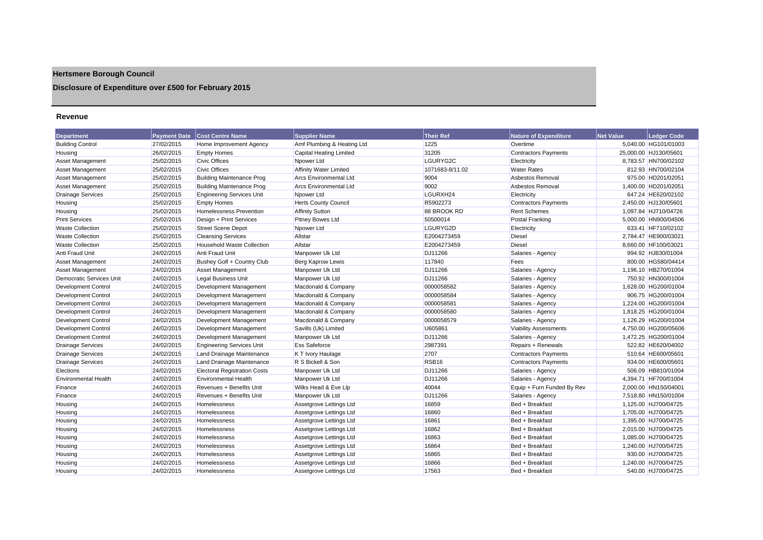## **Hertsmere Borough Council**

## **Disclosure of Expenditure over £500 for February 2015**

#### **Revenue**

| Department                  | <b>Payment Date</b> | <b>Cost Centre Name</b>             | <b>Supplier Name</b>           | <b>Their Ref</b>  | <b>Nature of Expenditure</b> | <b>Net Value</b> | <b>Ledger Code</b>    |
|-----------------------------|---------------------|-------------------------------------|--------------------------------|-------------------|------------------------------|------------------|-----------------------|
| <b>Building Control</b>     | 27/02/2015          | Home Improvement Agency             | Amf Plumbing & Heating Ltd     | 1225              | Overtime                     |                  | 5,040.00 HG101/01003  |
| Housing                     | 26/02/2015          | <b>Empty Homes</b>                  | <b>Capital Heating Limited</b> | 31205             | <b>Contractors Payments</b>  |                  | 25.000.00 HJ130/05601 |
| <b>Asset Management</b>     | 25/02/2015          | <b>Civic Offices</b>                | Npower Ltd                     | LGURYG2C          | Electricity                  |                  | 8,783.57 HN700/02102  |
| Asset Management            | 25/02/2015          | <b>Civic Offices</b>                | <b>Affinity Water Limited</b>  | 1071683-8/11.02   | <b>Water Rates</b>           |                  | 812.93 HN700/02104    |
| Asset Management            | 25/02/2015          | <b>Building Maintenance Prog</b>    | <b>Arcs Environmental Ltd</b>  | 9004              | Asbestos Removal             |                  | 975.00 HD201/02051    |
| <b>Asset Management</b>     | 25/02/2015          | <b>Building Maintenance Prog</b>    | <b>Arcs Environmental Ltd</b>  | 9002              | Asbestos Removal             |                  | 1,400.00 HD201/02051  |
| <b>Drainage Services</b>    | 25/02/2015          | <b>Engineering Services Unit</b>    | Npower Ltd                     | LGURXH24          | Electricity                  |                  | 647.24 HE620/02102    |
| Housing                     | 25/02/2015          | <b>Empty Homes</b>                  | <b>Herts County Council</b>    | R5902273          | <b>Contractors Payments</b>  |                  | 2,450.00 HJ130/05601  |
| Housing                     | 25/02/2015          | <b>Homelessness Prevention</b>      | <b>Affinity Sutton</b>         | 88 BROOK RD       | <b>Rent Schemes</b>          |                  | 1,097.84 HJ710/04726  |
| <b>Print Services</b>       | 25/02/2015          | Design + Print Services             | Pitney Bowes Ltd               | 50500014          | Postal Franking              |                  | 5,000.00 HN900/04506  |
| <b>Waste Collection</b>     | 25/02/2015          | <b>Street Scene Depot</b>           | Npower Ltd                     | LGURYG2D          | Electricity                  |                  | 633.41 HF710/02102    |
| <b>Waste Collection</b>     | 25/02/2015          | <b>Cleansing Services</b>           | Allstar                        | E2004273459       | <b>Diesel</b>                |                  | 2,784.47 HE900/03021  |
| <b>Waste Collection</b>     | 25/02/2015          | <b>Household Waste Collection</b>   | Allstar                        | E2004273459       | <b>Diesel</b>                |                  | 8.660.00 HF100/03021  |
| Anti Fraud Unit             | 24/02/2015          | <b>Anti Fraud Unit</b>              | Manpower Uk Ltd                | DJ11266           | Salaries - Agency            |                  | 994.92 HJ830/01004    |
| <b>Asset Management</b>     | 24/02/2015          | Bushey Golf + Country Club          | <b>Berg Kaprow Lewis</b>       | 117840            | Fees                         |                  | 800.00 HG580/04414    |
| Asset Management            | 24/02/2015          | <b>Asset Management</b>             | Manpower Uk Ltd                | DJ11266           | Salaries - Agency            |                  | 1.196.10 HB270/01004  |
| Democratic Services Unit    | 24/02/2015          | Legal Business Unit                 | Manpower Uk Ltd                | DJ11266           | Salaries - Agency            |                  | 750.92 HN300/01004    |
| <b>Development Control</b>  | 24/02/2015          | Development Management              | Macdonald & Company            | 0000058582        | Salaries - Agency            |                  | 1,628.00 HG200/01004  |
| <b>Development Control</b>  | 24/02/2015          | Development Management              | Macdonald & Company            | 0000058584        | Salaries - Agency            |                  | 906.75 HG200/01004    |
| Development Control         | 24/02/2015          | Development Management              | Macdonald & Company            | 0000058581        | Salaries - Agency            |                  | 1.224.00 HG200/01004  |
| Development Control         | 24/02/2015          | Development Management              | Macdonald & Company            | 0000058580        | Salaries - Agency            |                  | 1,818.25 HG200/01004  |
| Development Control         | 24/02/2015          | Development Management              | Macdonald & Company            | 0000058579        | Salaries - Agency            |                  | 1,126.29 HG200/01004  |
| Development Control         | 24/02/2015          | Development Management              | Savills (Uk) Limited           | U605861           | <b>Viability Assessments</b> |                  | 4,750.00 HG200/05606  |
| Development Control         | 24/02/2015          | Development Management              | Manpower Uk Ltd                | DJ11266           | Salaries - Agency            |                  | 1,472.25 HG200/01004  |
| <b>Drainage Services</b>    | 24/02/2015          | <b>Engineering Services Unit</b>    | <b>Ess Safeforce</b>           | 2987391           | Repairs + Renewals           |                  | 522.82 HE620/04002    |
| <b>Drainage Services</b>    | 24/02/2015          | Land Drainage Maintenance           | K T Ivory Haulage              | 2707              | <b>Contractors Payments</b>  |                  | 510.64 HE600/05601    |
| <b>Drainage Services</b>    | 24/02/2015          | Land Drainage Maintenance           | R S Bickell & Son              | RSB <sub>16</sub> | <b>Contractors Payments</b>  |                  | 934.00 HE600/05601    |
| Elections                   | 24/02/2015          | <b>Electoral Registration Costs</b> | Manpower Uk Ltd                | DJ11266           | Salaries - Agency            |                  | 506.09 HB810/01004    |
| <b>Environmental Health</b> | 24/02/2015          | <b>Environmental Health</b>         | Manpower Uk Ltd                | DJ11266           | Salaries - Agency            |                  | 4,394.71 HF700/01004  |
| Finance                     | 24/02/2015          | Revenues + Benefits Unit            | Wilks Head & Eve Llp           | 40044             | Equip + Furn Funded By Rev   |                  | 2,000.00 HN150/04001  |
| Finance                     | 24/02/2015          | Revenues + Benefits Unit            | Manpower Uk Ltd                | DJ11266           | Salaries - Agency            |                  | 7,518.80 HN150/01004  |
| Housing                     | 24/02/2015          | Homelessness                        | Assetgrove Lettings Ltd        | 16859             | Bed + Breakfast              |                  | 1,125.00 HJ700/04725  |
| Housing                     | 24/02/2015          | Homelessness                        | Assetgrove Lettings Ltd        | 16860             | Bed + Breakfast              |                  | 1,705.00 HJ700/04725  |
| Housing                     | 24/02/2015          | Homelessness                        | Assetgrove Lettings Ltd        | 16861             | Bed + Breakfast              |                  | 1,395.00 HJ700/04725  |
| Housing                     | 24/02/2015          | Homelessness                        | Assetgrove Lettings Ltd        | 16862             | Bed + Breakfast              |                  | 2,015.00 HJ700/04725  |
| Housing                     | 24/02/2015          | Homelessness                        | Assetgrove Lettings Ltd        | 16863             | Bed + Breakfast              |                  | 1,085.00 HJ700/04725  |
| Housing                     | 24/02/2015          | Homelessness                        | Assetgrove Lettings Ltd        | 16864             | Bed + Breakfast              |                  | 1,240.00 HJ700/04725  |
| Housing                     | 24/02/2015          | Homelessness                        | Assetgrove Lettings Ltd        | 16865             | Bed + Breakfast              |                  | 930.00 HJ700/04725    |
| Housing                     | 24/02/2015          | Homelessness                        | Assetgrove Lettings Ltd        | 16866             | Bed + Breakfast              |                  | 1.240.00 HJ700/04725  |
| Housing                     | 24/02/2015          | Homelessness                        | Assetgrove Lettings Ltd        | 17563             | Bed + Breakfast              |                  | 540.00 HJ700/04725    |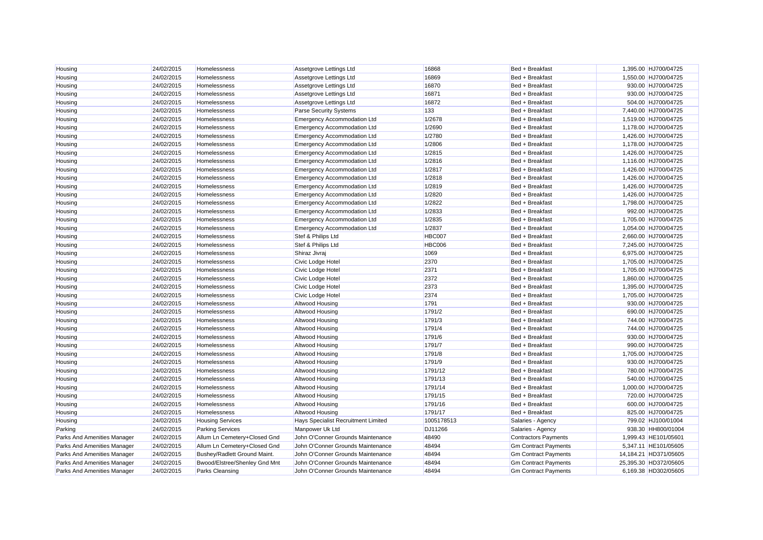| Housing                     | 24/02/2015 | Homelessness                  | Assetgrove Lettings Ltd             | 16868         | Bed + Breakfast             | 1,395.00 HJ700/04725  |
|-----------------------------|------------|-------------------------------|-------------------------------------|---------------|-----------------------------|-----------------------|
| Housing                     | 24/02/2015 | Homelessness                  | Assetgrove Lettings Ltd             | 16869         | Bed + Breakfast             | 1,550.00 HJ700/04725  |
| Housing                     | 24/02/2015 | Homelessness                  | Assetgrove Lettings Ltd             | 16870         | Bed + Breakfast             | 930.00 HJ700/04725    |
| Housing                     | 24/02/2015 | Homelessness                  | Assetgrove Lettings Ltd             | 16871         | Bed + Breakfast             | 930.00 HJ700/04725    |
| Housing                     | 24/02/2015 | Homelessness                  | Assetgrove Lettings Ltd             | 16872         | Bed + Breakfast             | 504.00 HJ700/04725    |
| Housing                     | 24/02/2015 | Homelessness                  | Parse Security Systems              | 133           | Bed + Breakfast             | 7,440.00 HJ700/04725  |
| Housing                     | 24/02/2015 | Homelessness                  | <b>Emergency Accommodation Ltd</b>  | 1/2678        | Bed + Breakfast             | 1,519.00 HJ700/04725  |
| Housing                     | 24/02/2015 | Homelessness                  | <b>Emergency Accommodation Ltd</b>  | 1/2690        | Bed + Breakfast             | 1,178.00 HJ700/04725  |
| Housing                     | 24/02/2015 | Homelessness                  | <b>Emergency Accommodation Ltd</b>  | 1/2780        | Bed + Breakfast             | 1,426.00 HJ700/04725  |
| Housing                     | 24/02/2015 | Homelessness                  | Emergency Accommodation Ltd         | 1/2806        | Bed + Breakfast             | 1,178.00 HJ700/04725  |
| Housing                     | 24/02/2015 | Homelessness                  | <b>Emergency Accommodation Ltd</b>  | 1/2815        | Bed + Breakfast             | 1,426.00 HJ700/04725  |
| Housing                     | 24/02/2015 | Homelessness                  | <b>Emergency Accommodation Ltd</b>  | 1/2816        | Bed + Breakfast             | 1,116.00 HJ700/04725  |
| Housing                     | 24/02/2015 | Homelessness                  | <b>Emergency Accommodation Ltd</b>  | 1/2817        | Bed + Breakfast             | 1,426.00 HJ700/04725  |
| Housing                     | 24/02/2015 | Homelessness                  | <b>Emergency Accommodation Ltd</b>  | 1/2818        | Bed + Breakfast             | 1,426.00 HJ700/04725  |
| Housing                     | 24/02/2015 | Homelessness                  | <b>Emergency Accommodation Ltd</b>  | 1/2819        | Bed + Breakfast             | 1,426.00 HJ700/04725  |
| Housing                     | 24/02/2015 | Homelessness                  | <b>Emergency Accommodation Ltd</b>  | 1/2820        | Bed + Breakfast             | 1,426.00 HJ700/04725  |
| Housing                     | 24/02/2015 | Homelessness                  | <b>Emergency Accommodation Ltd</b>  | 1/2822        | Bed + Breakfast             | 1,798.00 HJ700/04725  |
| Housing                     | 24/02/2015 | Homelessness                  | <b>Emergency Accommodation Ltd</b>  | 1/2833        | Bed + Breakfast             | 992.00 HJ700/04725    |
| Housing                     | 24/02/2015 | Homelessness                  | <b>Emergency Accommodation Ltd</b>  | 1/2835        | Bed + Breakfast             | 1,705.00 HJ700/04725  |
| Housing                     | 24/02/2015 | Homelessness                  | Emergency Accommodation Ltd         | 1/2837        | Bed + Breakfast             | 1,054.00 HJ700/04725  |
| Housing                     | 24/02/2015 | Homelessness                  | Stef & Philips Ltd                  | <b>HBC007</b> | Bed + Breakfast             | 2,660.00 HJ700/04725  |
| Housing                     | 24/02/2015 | Homelessness                  | Stef & Philips Ltd                  | <b>HBC006</b> | Bed + Breakfast             | 7,245.00 HJ700/04725  |
| Housing                     | 24/02/2015 | Homelessness                  | Shiraz Jivraj                       | 1069          | Bed + Breakfast             | 6,975.00 HJ700/04725  |
| Housing                     | 24/02/2015 | Homelessness                  | Civic Lodge Hotel                   | 2370          | Bed + Breakfast             | 1,705.00 HJ700/04725  |
| Housing                     | 24/02/2015 | Homelessness                  | Civic Lodge Hotel                   | 2371          | Bed + Breakfast             | 1,705.00 HJ700/04725  |
| Housing                     | 24/02/2015 | Homelessness                  | Civic Lodge Hotel                   | 2372          | Bed + Breakfast             | 1,860.00 HJ700/04725  |
| Housing                     | 24/02/2015 | Homelessness                  | Civic Lodge Hotel                   | 2373          | Bed + Breakfast             | 1,395.00 HJ700/04725  |
| Housing                     | 24/02/2015 | Homelessness                  | Civic Lodge Hotel                   | 2374          | Bed + Breakfast             | 1,705.00 HJ700/04725  |
| Housing                     | 24/02/2015 | Homelessness                  | Altwood Housing                     | 1791          | Bed + Breakfast             | 930.00 HJ700/04725    |
| Housing                     | 24/02/2015 | Homelessness                  | Altwood Housing                     | 1791/2        | Bed + Breakfast             | 690.00 HJ700/04725    |
| Housing                     | 24/02/2015 | Homelessness                  | Altwood Housing                     | 1791/3        | Bed + Breakfast             | 744.00 HJ700/04725    |
| Housing                     | 24/02/2015 | Homelessness                  | Altwood Housing                     | 1791/4        | Bed + Breakfast             | 744.00 HJ700/04725    |
| Housing                     | 24/02/2015 | Homelessness                  | Altwood Housing                     | 1791/6        | Bed + Breakfast             | 930.00 HJ700/04725    |
| Housing                     | 24/02/2015 | Homelessness                  | <b>Altwood Housing</b>              | 1791/7        | Bed + Breakfast             | 990.00 HJ700/04725    |
| Housing                     | 24/02/2015 | Homelessness                  | Altwood Housing                     | 1791/8        | Bed + Breakfast             | 1,705.00 HJ700/04725  |
| Housing                     | 24/02/2015 | Homelessness                  | Altwood Housing                     | 1791/9        | Bed + Breakfast             | 930.00 HJ700/04725    |
| Housing                     | 24/02/2015 | Homelessness                  | <b>Altwood Housing</b>              | 1791/12       | Bed + Breakfast             | 780.00 HJ700/04725    |
| Housing                     | 24/02/2015 | Homelessness                  | <b>Altwood Housing</b>              | 1791/13       | Bed + Breakfast             | 540.00 HJ700/04725    |
| Housing                     | 24/02/2015 | Homelessness                  | Altwood Housing                     | 1791/14       | Bed + Breakfast             | 1,000.00 HJ700/04725  |
| Housing                     | 24/02/2015 | Homelessness                  | Altwood Housing                     | 1791/15       | Bed + Breakfast             | 720.00 HJ700/04725    |
| Housing                     | 24/02/2015 | Homelessness                  | <b>Altwood Housing</b>              | 1791/16       | Bed + Breakfast             | 600.00 HJ700/04725    |
| Housing                     | 24/02/2015 | Homelessness                  | Altwood Housing                     | 1791/17       | Bed + Breakfast             | 825.00 HJ700/04725    |
| Housing                     | 24/02/2015 | <b>Housing Services</b>       | Hays Specialist Recruitment Limited | 1005178513    | Salaries - Agency           | 799.02 HJ100/01004    |
| Parking                     | 24/02/2015 | <b>Parking Services</b>       | Manpower Uk Ltd                     | DJ11266       | Salaries - Agency           | 938.30 HH800/01004    |
| Parks And Amenities Manager | 24/02/2015 | Allum Ln Cemetery+Closed Gnd  | John O'Conner Grounds Maintenance   | 48490         | <b>Contractors Payments</b> | 1,999.43 HE101/05601  |
| Parks And Amenities Manager | 24/02/2015 | Allum Ln Cemetery+Closed Gnd  | John O'Conner Grounds Maintenance   | 48494         | <b>Gm Contract Payments</b> | 5,347.11 HE101/05605  |
| Parks And Amenities Manager | 24/02/2015 | Bushey/Radlett Ground Maint.  | John O'Conner Grounds Maintenance   | 48494         | <b>Gm Contract Payments</b> | 14,184.21 HD371/05605 |
| Parks And Amenities Manager | 24/02/2015 | Bwood/Elstree/Shenley Gnd Mnt | John O'Conner Grounds Maintenance   | 48494         | <b>Gm Contract Payments</b> | 25,395.30 HD372/05605 |
| Parks And Amenities Manager | 24/02/2015 | Parks Cleansing               | John O'Conner Grounds Maintenance   | 48494         | <b>Gm Contract Payments</b> | 6,169.38 HD302/05605  |
|                             |            |                               |                                     |               |                             |                       |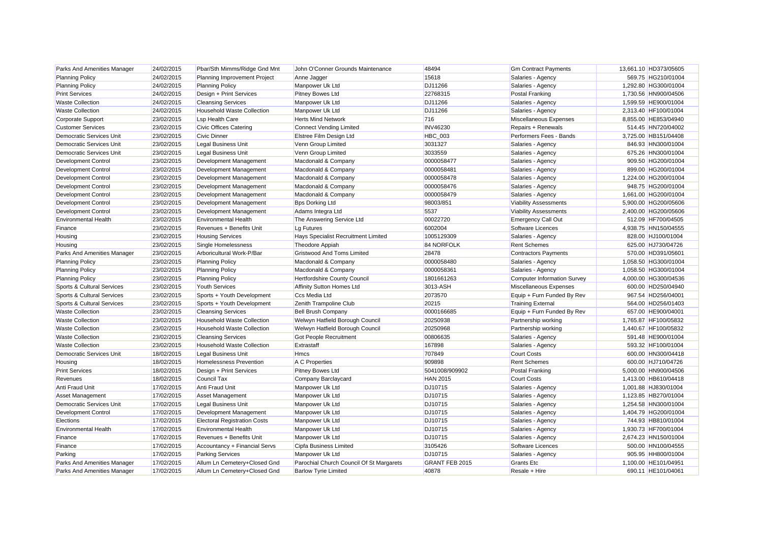| Parks And Amenities Manager     | 24/02/2015 | Pbar/Sth Mimms/Ridge Gnd Mnt        | John O'Conner Grounds Maintenance        | 48494           | <b>Gm Contract Payments</b>  | 13,661.10 HD373/05605 |
|---------------------------------|------------|-------------------------------------|------------------------------------------|-----------------|------------------------------|-----------------------|
| <b>Planning Policy</b>          | 24/02/2015 | Planning Improvement Project        | Anne Jagger                              | 15618           | Salaries - Agency            | 569.75 HG210/01004    |
| <b>Planning Policy</b>          | 24/02/2015 | <b>Planning Policy</b>              | Manpower Uk Ltd                          | DJ11266         | Salaries - Agency            | 1,292.80 HG300/01004  |
| <b>Print Services</b>           | 24/02/2015 | Design + Print Services             | Pitney Bowes Ltd                         | 22768315        | Postal Franking              | 1,730.56 HN900/04506  |
| <b>Waste Collection</b>         | 24/02/2015 | <b>Cleansing Services</b>           | Manpower Uk Ltd                          | DJ11266         | Salaries - Agency            | 1,599.59 HE900/01004  |
| <b>Waste Collection</b>         | 24/02/2015 | <b>Household Waste Collection</b>   | Manpower Uk Ltd                          | DJ11266         | Salaries - Agency            | 2,313.40 HF100/01004  |
| <b>Corporate Support</b>        | 23/02/2015 | <b>Lsp Health Care</b>              | <b>Herts Mind Network</b>                | 716             | Miscellaneous Expenses       | 8,855.00 HE853/04940  |
| <b>Customer Services</b>        | 23/02/2015 | Civic Offices Catering              | <b>Connect Vending Limited</b>           | <b>INV46230</b> | Repairs + Renewals           | 514.45 HN720/04002    |
| <b>Democratic Services Unit</b> | 23/02/2015 | <b>Civic Dinner</b>                 | Elstree Film Design Ltd                  | <b>HBC_003</b>  | Performers Fees - Bands      | 3,725.00 HB151/04408  |
| Democratic Services Unit        | 23/02/2015 | <b>Legal Business Unit</b>          | Venn Group Limited                       | 3031327         | Salaries - Agency            | 846.93 HN300/01004    |
| Democratic Services Unit        | 23/02/2015 | <b>Legal Business Unit</b>          | Venn Group Limited                       | 3033559         | Salaries - Agency            | 675.26 HN300/01004    |
| <b>Development Control</b>      | 23/02/2015 | Development Management              | Macdonald & Company                      | 0000058477      | Salaries - Agency            | 909.50 HG200/01004    |
| <b>Development Control</b>      | 23/02/2015 | Development Management              | Macdonald & Company                      | 0000058481      | Salaries - Agency            | 899.00 HG200/01004    |
| Development Control             | 23/02/2015 | Development Management              | Macdonald & Company                      | 0000058478      | Salaries - Agency            | 1,224.00 HG200/01004  |
| <b>Development Control</b>      | 23/02/2015 | Development Management              | Macdonald & Company                      | 0000058476      | Salaries - Agency            | 948.75 HG200/01004    |
| <b>Development Control</b>      | 23/02/2015 | Development Management              | Macdonald & Company                      | 0000058479      | Salaries - Agency            | 1,661.00 HG200/01004  |
| <b>Development Control</b>      | 23/02/2015 | Development Management              | <b>Bps Dorking Ltd</b>                   | 98003/851       | <b>Viability Assessments</b> | 5,900.00 HG200/05606  |
| <b>Development Control</b>      | 23/02/2015 | Development Management              | Adams Integra Ltd                        | 5537            | <b>Viability Assessments</b> | 2,400.00 HG200/05606  |
| <b>Environmental Health</b>     | 23/02/2015 | <b>Environmental Health</b>         | The Answering Service Ltd                | 00022720        | <b>Emergency Call Out</b>    | 512.09 HF700/04505    |
| Finance                         | 23/02/2015 | Revenues + Benefits Unit            | Lg Futures                               | 6002004         | Software Licences            | 4,938.75 HN150/04555  |
| Housing                         | 23/02/2015 | <b>Housing Services</b>             | Hays Specialist Recruitment Limited      | 1005129309      | Salaries - Agency            | 828.00 HJ100/01004    |
| Housing                         | 23/02/2015 | Single Homelessness                 | Theodore Appiah                          | 84 NORFOLK      | <b>Rent Schemes</b>          | 625.00 HJ730/04726    |
| Parks And Amenities Manager     | 23/02/2015 | Arboricultural Work-P/Bar           | Gristwood And Toms Limited               | 28478           | <b>Contractors Payments</b>  | 570.00 HD391/05601    |
| <b>Planning Policy</b>          | 23/02/2015 | <b>Planning Policy</b>              | Macdonald & Company                      | 0000058480      | Salaries - Agency            | 1,058.50 HG300/01004  |
| <b>Planning Policy</b>          | 23/02/2015 | <b>Planning Policy</b>              | Macdonald & Company                      | 0000058361      | Salaries - Agency            | 1,058.50 HG300/01004  |
| <b>Planning Policy</b>          | 23/02/2015 | <b>Planning Policy</b>              | Hertfordshire County Council             | 1801661263      | Computer Information Survey  | 4,000.00 HG300/04536  |
| Sports & Cultural Services      | 23/02/2015 | <b>Youth Services</b>               | Affinity Sutton Homes Ltd                | 3013-ASH        | Miscellaneous Expenses       | 600.00 HD250/04940    |
| Sports & Cultural Services      | 23/02/2015 | Sports + Youth Development          | Ccs Media Ltd                            | 2073570         | Equip + Furn Funded By Rev   | 967.54 HD256/04001    |
| Sports & Cultural Services      | 23/02/2015 | Sports + Youth Development          | Zenith Trampoline Club                   | 20215           | <b>Training External</b>     | 564.00 HD256/01403    |
| <b>Waste Collection</b>         | 23/02/2015 | <b>Cleansing Services</b>           | <b>Bell Brush Company</b>                | 0000166685      | Equip + Furn Funded By Rev   | 657.00 HE900/04001    |
| <b>Waste Collection</b>         | 23/02/2015 | <b>Household Waste Collection</b>   | Welwyn Hatfield Borough Council          | 20250938        | Partnership working          | 1,765.87 HF100/05832  |
| <b>Waste Collection</b>         | 23/02/2015 | <b>Household Waste Collection</b>   | Welwyn Hatfield Borough Council          | 20250968        | Partnership working          | 1,440.67 HF100/05832  |
| <b>Waste Collection</b>         | 23/02/2015 | <b>Cleansing Services</b>           | Got People Recruitment                   | 00806635        | Salaries - Agency            | 591.48 HE900/01004    |
| <b>Waste Collection</b>         | 23/02/2015 | <b>Household Waste Collection</b>   | Extrastaff                               | 167898          | Salaries - Agency            | 593.32 HF100/01004    |
| Democratic Services Unit        | 18/02/2015 | <b>Legal Business Unit</b>          | <b>Hmcs</b>                              | 707849          | <b>Court Costs</b>           | 600.00 HN300/04418    |
| Housing                         | 18/02/2015 | <b>Homelessness Prevention</b>      | A C Properties                           | 909898          | <b>Rent Schemes</b>          | 600.00 HJ710/04726    |
| <b>Print Services</b>           | 18/02/2015 | Design + Print Services             | Pitney Bowes Ltd                         | 5041008/909902  | <b>Postal Franking</b>       | 5,000.00 HN900/04506  |
| Revenues                        | 18/02/2015 | <b>Council Tax</b>                  | Company Barclaycard                      | <b>HAN 2015</b> | <b>Court Costs</b>           | 1,413.00 HB610/04418  |
| Anti Fraud Unit                 | 17/02/2015 | Anti Fraud Unit                     | Manpower Uk Ltd                          | DJ10715         | Salaries - Agency            | 1.001.88 HJ830/01004  |
| Asset Management                | 17/02/2015 | <b>Asset Management</b>             | Manpower Uk Ltd                          | DJ10715         | Salaries - Agency            | 1.123.85 HB270/01004  |
| Democratic Services Unit        | 17/02/2015 | <b>Legal Business Unit</b>          | Manpower Uk Ltd                          | DJ10715         | Salaries - Agency            | 1,254.58 HN300/01004  |
| <b>Development Control</b>      | 17/02/2015 | Development Management              | Manpower Uk Ltd                          | DJ10715         | Salaries - Agency            | 1,404.79 HG200/01004  |
| Elections                       | 17/02/2015 | <b>Electoral Registration Costs</b> | Manpower Uk Ltd                          | DJ10715         | Salaries - Agency            | 744.93 HB810/01004    |
| <b>Environmental Health</b>     | 17/02/2015 | <b>Environmental Health</b>         | Manpower Uk Ltd                          | DJ10715         | Salaries - Agency            | 1,930.73 HF700/01004  |
| Finance                         | 17/02/2015 | Revenues + Benefits Unit            | Manpower Uk Ltd                          | DJ10715         | Salaries - Agency            | 2,674.23 HN150/01004  |
| Finance                         | 17/02/2015 | Accountancy + Financial Servs       | Cipfa Business Limited                   | 3105426         | Software Licences            | 500.00 HN100/04555    |
| Parking                         | 17/02/2015 | <b>Parking Services</b>             | Manpower Uk Ltd                          | DJ10715         | Salaries - Agency            | 905.95 HH800/01004    |
| Parks And Amenities Manager     | 17/02/2015 | Allum Ln Cemetery+Closed Gnd        | Parochial Church Council Of St Margarets | GRANT FEB 2015  | <b>Grants</b> Etc            | 1,100.00 HE101/04951  |
| Parks And Amenities Manager     | 17/02/2015 | Allum Ln Cemetery+Closed Gnd        | <b>Barlow Tyrie Limited</b>              | 40878           | Resale + Hire                | 690.11 HE101/04061    |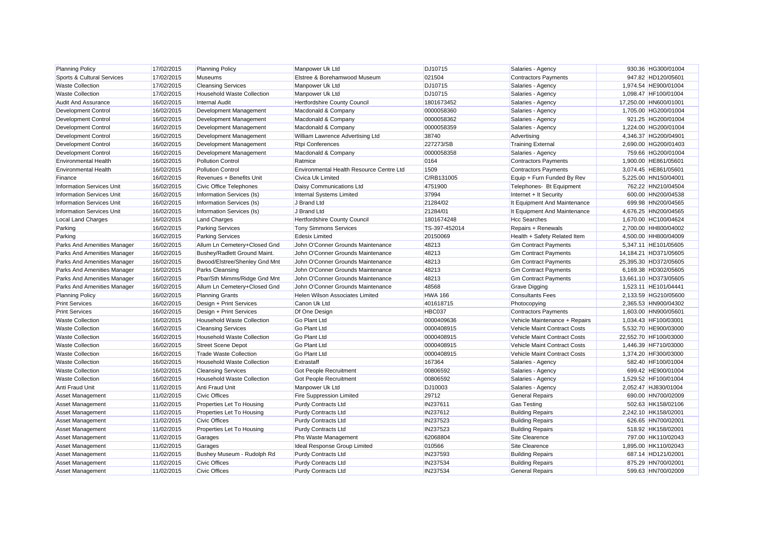| <b>Planning Policy</b>           | 17/02/2015 | <b>Planning Policy</b>            | Manpower Uk Ltd                          | DJ10715        | Salaries - Agency             | 930.36 HG300/01004    |
|----------------------------------|------------|-----------------------------------|------------------------------------------|----------------|-------------------------------|-----------------------|
| Sports & Cultural Services       | 17/02/2015 | <b>Museums</b>                    | Elstree & Borehamwood Museum             | 021504         | <b>Contractors Payments</b>   | 947.82 HD120/05601    |
| <b>Waste Collection</b>          | 17/02/2015 | <b>Cleansing Services</b>         | Manpower Uk Ltd                          | DJ10715        | Salaries - Agency             | 1,974.54 HE900/01004  |
| <b>Waste Collection</b>          | 17/02/2015 | <b>Household Waste Collection</b> | Manpower Uk Ltd                          | DJ10715        | Salaries - Agency             | 1,098.47 HF100/01004  |
| <b>Audit And Assurance</b>       | 16/02/2015 | <b>Internal Audit</b>             | <b>Hertfordshire County Council</b>      | 1801673452     | Salaries - Agency             | 17,250.00 HN600/01001 |
| <b>Development Control</b>       | 16/02/2015 | Development Management            | Macdonald & Company                      | 0000058360     | Salaries - Agency             | 1,705.00 HG200/01004  |
| <b>Development Control</b>       | 16/02/2015 | Development Management            | Macdonald & Company                      | 0000058362     | Salaries - Agency             | 921.25 HG200/01004    |
| <b>Development Control</b>       | 16/02/2015 | Development Management            | Macdonald & Company                      | 0000058359     | Salaries - Agency             | 1,224.00 HG200/01004  |
| Development Control              | 16/02/2015 | Development Management            | William Lawrence Advertising Ltd         | 38740          | Advertising                   | 4,346.37 HG200/04901  |
| <b>Development Control</b>       | 16/02/2015 | Development Management            | <b>Rtpi Conferences</b>                  | 227273/SB      | <b>Training External</b>      | 2,690.00 HG200/01403  |
| Development Control              | 16/02/2015 | Development Management            | Macdonald & Company                      | 0000058358     | Salaries - Agency             | 759.66 HG200/01004    |
| <b>Environmental Health</b>      | 16/02/2015 | <b>Pollution Control</b>          | Ratmice                                  | 0164           | <b>Contractors Payments</b>   | 1,900.00 HE861/05601  |
| <b>Environmental Health</b>      | 16/02/2015 | <b>Pollution Control</b>          | Environmental Health Resource Centre Ltd | 1509           | Contractors Payments          | 3,074.45 HE861/05601  |
| Finance                          | 16/02/2015 | Revenues + Benefits Unit          | <b>Civica Uk Limited</b>                 | C/RB131005     | Equip + Furn Funded By Rev    | 5,225.00 HN150/04001  |
| <b>Information Services Unit</b> | 16/02/2015 | Civic Office Telephones           | Daisy Communications Ltd                 | 4751900        | Telephones- Bt Equipment      | 762.22 HN210/04504    |
| <b>Information Services Unit</b> | 16/02/2015 | Information Services (Is)         | Internal Systems Limited                 | 37994          | Internet + It Security        | 600.00 HN200/04538    |
| <b>Information Services Unit</b> | 16/02/2015 | Information Services (Is)         | J Brand Ltd                              | 21284/02       | It Equipment And Maintenance  | 699.98 HN200/04565    |
| <b>Information Services Unit</b> | 16/02/2015 | Information Services (Is)         | J Brand Ltd                              | 21284/01       | It Equipment And Maintenance  | 4,676.25 HN200/04565  |
| Local Land Charges               | 16/02/2015 | <b>Land Charges</b>               | <b>Hertfordshire County Council</b>      | 1801674248     | <b>Hcc Searches</b>           | 1,670.00 HC100/04624  |
| Parking                          | 16/02/2015 | <b>Parking Services</b>           | <b>Tony Simmons Services</b>             | TS-397-452014  | Repairs + Renewals            | 2,700.00 HH800/04002  |
| Parking                          | 16/02/2015 | <b>Parking Services</b>           | <b>Edesix Limited</b>                    | 20150069       | Health + Safety Related Item  | 4,500.00 HH800/04009  |
| Parks And Amenities Manager      | 16/02/2015 | Allum Ln Cemetery+Closed Gnd      | John O'Conner Grounds Maintenance        | 48213          | <b>Gm Contract Payments</b>   | 5,347.11 HE101/05605  |
| Parks And Amenities Manager      | 16/02/2015 | Bushey/Radlett Ground Maint.      | John O'Conner Grounds Maintenance        | 48213          | <b>Gm Contract Payments</b>   | 14,184.21 HD371/05605 |
| Parks And Amenities Manager      | 16/02/2015 | Bwood/Elstree/Shenley Gnd Mnt     | John O'Conner Grounds Maintenance        | 48213          | <b>Gm Contract Payments</b>   | 25,395.30 HD372/05605 |
| Parks And Amenities Manager      | 16/02/2015 | Parks Cleansing                   | John O'Conner Grounds Maintenance        | 48213          | <b>Gm Contract Payments</b>   | 6,169.38 HD302/05605  |
| Parks And Amenities Manager      | 16/02/2015 | Pbar/Sth Mimms/Ridge Gnd Mnt      | John O'Conner Grounds Maintenance        | 48213          | <b>Gm Contract Payments</b>   | 13,661.10 HD373/05605 |
| Parks And Amenities Manager      | 16/02/2015 | Allum Ln Cemetery+Closed Gnd      | John O'Conner Grounds Maintenance        | 48568          | Grave Digging                 | 1,523.11 HE101/04441  |
| <b>Planning Policy</b>           | 16/02/2015 | <b>Planning Grants</b>            | <b>Helen Wilson Associates Limited</b>   | <b>HWA 166</b> | <b>Consultants Fees</b>       | 2.133.59 HG210/05600  |
| <b>Print Services</b>            | 16/02/2015 | Design + Print Services           | Canon Uk Ltd                             | 401618715      | Photocopying                  | 2,365.53 HN900/04302  |
| <b>Print Services</b>            | 16/02/2015 | Design + Print Services           | Df One Design                            | HBC037         | <b>Contractors Payments</b>   | 1,603.00 HN900/05601  |
| <b>Waste Collection</b>          | 16/02/2015 | <b>Household Waste Collection</b> | <b>Go Plant Ltd</b>                      | 0000409636     | Vehicle Maintenance + Repairs | 1,034.43 HF100/03001  |
| <b>Waste Collection</b>          | 16/02/2015 | <b>Cleansing Services</b>         | Go Plant Ltd                             | 0000408915     | Vehicle Maint Contract Costs  | 5,532.70 HE900/03000  |
| <b>Waste Collection</b>          | 16/02/2015 | <b>Household Waste Collection</b> | Go Plant Ltd                             | 0000408915     | Vehicle Maint Contract Costs  | 22,552.70 HF100/03000 |
| <b>Waste Collection</b>          | 16/02/2015 | <b>Street Scene Depot</b>         | Go Plant Ltd                             | 0000408915     | Vehicle Maint Contract Costs  | 1,446.39 HF710/03000  |
| <b>Waste Collection</b>          | 16/02/2015 | <b>Trade Waste Collection</b>     | Go Plant Ltd                             | 0000408915     | Vehicle Maint Contract Costs  | 1,374.20 HF300/03000  |
| <b>Waste Collection</b>          | 16/02/2015 | <b>Household Waste Collection</b> | Extrastaff                               | 167364         | Salaries - Agency             | 582.40 HF100/01004    |
| <b>Waste Collection</b>          | 16/02/2015 | <b>Cleansing Services</b>         | Got People Recruitment                   | 00806592       | Salaries - Agency             | 699.42 HE900/01004    |
| <b>Waste Collection</b>          | 16/02/2015 | <b>Household Waste Collection</b> | <b>Got People Recruitment</b>            | 00806592       | Salaries - Agency             | 1,529.52 HF100/01004  |
| Anti Fraud Unit                  | 11/02/2015 | Anti Fraud Unit                   | Manpower Uk Ltd                          | DJ10003        | Salaries - Agency             | 2,052.47 HJ830/01004  |
| <b>Asset Management</b>          | 11/02/2015 | <b>Civic Offices</b>              | <b>Fire Suppression Limited</b>          | 29712          | <b>General Repairs</b>        | 690.00 HN700/02009    |
| <b>Asset Management</b>          | 11/02/2015 | Properties Let To Housing         | <b>Purdy Contracts Ltd</b>               | IN237611       | <b>Gas Testing</b>            | 502.63 HK158/02106    |
| <b>Asset Management</b>          | 11/02/2015 | Properties Let To Housing         | <b>Purdy Contracts Ltd</b>               | IN237612       | <b>Building Repairs</b>       | 2.242.10 HK158/02001  |
| <b>Asset Management</b>          | 11/02/2015 | <b>Civic Offices</b>              | <b>Purdy Contracts Ltd</b>               | IN237523       | <b>Building Repairs</b>       | 626.65 HN700/02001    |
| <b>Asset Management</b>          | 11/02/2015 | Properties Let To Housing         | <b>Purdy Contracts Ltd</b>               | IN237523       | <b>Building Repairs</b>       | 518.92 HK158/02001    |
| <b>Asset Management</b>          | 11/02/2015 | Garages                           | Phs Waste Management                     | 62068804       | Site Clearence                | 797.00 HK110/02043    |
| Asset Management                 | 11/02/2015 | Garages                           | Ideal Response Group Limited             | 010566         | Site Clearence                | 1,895.00 HK110/02043  |
| <b>Asset Management</b>          | 11/02/2015 | Bushey Museum - Rudolph Rd        | <b>Purdy Contracts Ltd</b>               | IN237593       | <b>Building Repairs</b>       | 687.14 HD121/02001    |
| Asset Management                 | 11/02/2015 | <b>Civic Offices</b>              | <b>Purdy Contracts Ltd</b>               | IN237534       | <b>Building Repairs</b>       | 875.29 HN700/02001    |
| <b>Asset Management</b>          | 11/02/2015 | <b>Civic Offices</b>              | <b>Purdy Contracts Ltd</b>               | IN237534       | <b>General Repairs</b>        | 599.63 HN700/02009    |
|                                  |            |                                   |                                          |                |                               |                       |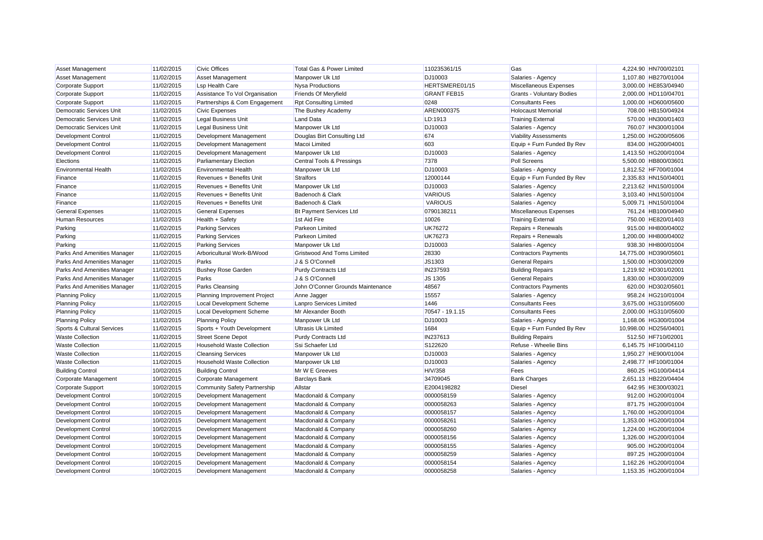| <b>Asset Management</b>         | 11/02/2015 | <b>Civic Offices</b>              | Total Gas & Power Limited            | 110235361/15       | Gas                              | 4,224.90 HN700/02101  |
|---------------------------------|------------|-----------------------------------|--------------------------------------|--------------------|----------------------------------|-----------------------|
| Asset Management                | 11/02/2015 | Asset Management                  | Manpower Uk Ltd                      | DJ10003            | Salaries - Agency                | 1,107.80 HB270/01004  |
| Corporate Support               | 11/02/2015 | <b>Lsp Health Care</b>            | <b>Nysa Productions</b>              | HERTSMERE01/15     | Miscellaneous Expenses           | 3,000.00 HE853/04940  |
| Corporate Support               | 11/02/2015 | Assistance To Vol Organisation    | Friends Of Meryfield                 | <b>GRANT FEB15</b> | <b>Grants - Voluntary Bodies</b> | 2,000.00 HD110/04701  |
| <b>Corporate Support</b>        | 11/02/2015 | Partnerships & Com Engagement     | <b>Rpt Consulting Limited</b>        | 0248               | <b>Consultants Fees</b>          | 1,000.00 HD600/05600  |
| Democratic Services Unit        | 11/02/2015 | <b>Civic Expenses</b>             | The Bushey Academy                   | AREN000375         | <b>Holocaust Memorial</b>        | 708.00 HB150/04924    |
| <b>Democratic Services Unit</b> | 11/02/2015 | <b>Legal Business Unit</b>        | <b>Land Data</b>                     | LD:1913            | <b>Training External</b>         | 570.00 HN300/01403    |
| Democratic Services Unit        | 11/02/2015 | <b>Legal Business Unit</b>        | Manpower Uk Ltd                      | DJ10003            | Salaries - Agency                | 760.07 HN300/01004    |
| <b>Development Control</b>      | 11/02/2015 | Development Management            | Douglas Birt Consulting Ltd          | 674                | <b>Viability Assessments</b>     | 1,250.00 HG200/05606  |
| <b>Development Control</b>      | 11/02/2015 | Development Management            | Macoi Limited                        | 603                | Equip + Furn Funded By Rev       | 834.00 HG200/04001    |
| Development Control             | 11/02/2015 | Development Management            | Manpower Uk Ltd                      | DJ10003            | Salaries - Agency                | 1,413.50 HG200/01004  |
| Elections                       | 11/02/2015 | Parliamentary Election            | <b>Central Tools &amp; Pressings</b> | 7378               | Poll Screens                     | 5,500.00 HB800/03601  |
| <b>Environmental Health</b>     | 11/02/2015 | <b>Environmental Health</b>       | Manpower Uk Ltd                      | DJ10003            | Salaries - Agency                | 1,812.52 HF700/01004  |
| Finance                         | 11/02/2015 | Revenues + Benefits Unit          | <b>Stralfors</b>                     | 12000144           | Equip + Furn Funded By Rev       | 2.335.83 HN150/04001  |
| Finance                         | 11/02/2015 | Revenues + Benefits Unit          | Manpower Uk Ltd                      | DJ10003            | Salaries - Agency                | 2,213.62 HN150/01004  |
| Finance                         | 11/02/2015 | Revenues + Benefits Unit          | Badenoch & Clark                     | <b>VARIOUS</b>     | Salaries - Agency                | 3,103.40 HN150/01004  |
| Finance                         | 11/02/2015 | Revenues + Benefits Unit          | Badenoch & Clark                     | <b>VARIOUS</b>     | Salaries - Agency                | 5,009.71 HN150/01004  |
| <b>General Expenses</b>         | 11/02/2015 | <b>General Expenses</b>           | <b>Bt Payment Services Ltd</b>       | 0790138211         | Miscellaneous Expenses           | 761.24 HB100/04940    |
| <b>Human Resources</b>          | 11/02/2015 | Health + Safety                   | 1st Aid Fire                         | 10026              | <b>Training External</b>         | 750.00 HE820/01403    |
| Parking                         | 11/02/2015 | <b>Parking Services</b>           | <b>Parkeon Limited</b>               | <b>UK76272</b>     | Repairs + Renewals               | 915.00 HH800/04002    |
| Parking                         | 11/02/2015 | <b>Parking Services</b>           | <b>Parkeon Limited</b>               | <b>UK76273</b>     | Repairs + Renewals               | 1.200.00 HH800/04002  |
| Parking                         | 11/02/2015 | <b>Parking Services</b>           | Manpower Uk Ltd                      | DJ10003            | Salaries - Agency                | 938.30 HH800/01004    |
| Parks And Amenities Manager     | 11/02/2015 | Arboricultural Work-B/Wood        | <b>Gristwood And Toms Limited</b>    | 28330              | <b>Contractors Payments</b>      | 14,775.00 HD390/05601 |
| Parks And Amenities Manager     | 11/02/2015 | Parks                             | J & S O'Connell                      | JS1303             | <b>General Repairs</b>           | 1,500.00 HD300/02009  |
| Parks And Amenities Manager     | 11/02/2015 | <b>Bushey Rose Garden</b>         | <b>Purdy Contracts Ltd</b>           | IN237593           | <b>Building Repairs</b>          | 1,219.92 HD301/02001  |
| Parks And Amenities Manager     | 11/02/2015 | Parks                             | J & S O'Connell                      | JS 1305            | <b>General Repairs</b>           | 1,830.00 HD300/02009  |
| Parks And Amenities Manager     | 11/02/2015 | Parks Cleansing                   | John O'Conner Grounds Maintenance    | 48567              | <b>Contractors Payments</b>      | 620.00 HD302/05601    |
| <b>Planning Policy</b>          | 11/02/2015 | Planning Improvement Project      | Anne Jagger                          | 15557              | Salaries - Agency                | 958.24 HG210/01004    |
| <b>Planning Policy</b>          | 11/02/2015 | <b>Local Development Scheme</b>   | Lanpro Services Limited              | 1446               | <b>Consultants Fees</b>          | 3,675.00 HG310/05600  |
| <b>Planning Policy</b>          | 11/02/2015 | <b>Local Development Scheme</b>   | Mr Alexander Booth                   | 70547 - 19.1.15    | <b>Consultants Fees</b>          | 2,000.00 HG310/05600  |
| <b>Planning Policy</b>          | 11/02/2015 | <b>Planning Policy</b>            | Manpower Uk Ltd                      | DJ10003            | Salaries - Agency                | 1,168.06 HG300/01004  |
| Sports & Cultural Services      | 11/02/2015 | Sports + Youth Development        | <b>Ultrasis Uk Limited</b>           | 1684               | Equip + Furn Funded By Rev       | 10,998.00 HD256/04001 |
| <b>Waste Collection</b>         | 11/02/2015 | <b>Street Scene Depot</b>         | <b>Purdy Contracts Ltd</b>           | IN237613           | <b>Building Repairs</b>          | 512.50 HF710/02001    |
| <b>Waste Collection</b>         | 11/02/2015 | <b>Household Waste Collection</b> | Ssi Schaefer Ltd                     | S122620            | Refuse - Wheelie Bins            | 6,145.75 HF100/04110  |
| <b>Waste Collection</b>         | 11/02/2015 | <b>Cleansing Services</b>         | Manpower Uk Ltd                      | DJ10003            | Salaries - Agency                | 1,950.27 HE900/01004  |
| <b>Waste Collection</b>         | 11/02/2015 | Household Waste Collection        | Manpower Uk Ltd                      | DJ10003            | Salaries - Agency                | 2,498.77 HF100/01004  |
| <b>Building Control</b>         | 10/02/2015 | <b>Building Control</b>           | Mr W E Greeves                       | H/V/358            | Fees                             | 860.25 HG100/04414    |
| Corporate Management            | 10/02/2015 | Corporate Management              | <b>Barclays Bank</b>                 | 34709045           | <b>Bank Charges</b>              | 2,651.13 HB220/04404  |
| Corporate Support               | 10/02/2015 | Community Safety Partnership      | Allstar                              | E2004198282        | <b>Diesel</b>                    | 642.95 HE300/03021    |
| <b>Development Control</b>      | 10/02/2015 | Development Management            | Macdonald & Company                  | 0000058159         | Salaries - Agency                | 912.00 HG200/01004    |
| <b>Development Control</b>      | 10/02/2015 | Development Management            | Macdonald & Company                  | 0000058263         | Salaries - Agency                | 871.75 HG200/01004    |
| <b>Development Control</b>      | 10/02/2015 | Development Management            | Macdonald & Company                  | 0000058157         | Salaries - Agency                | 1.760.00 HG200/01004  |
| <b>Development Control</b>      | 10/02/2015 | Development Management            | Macdonald & Company                  | 0000058261         | Salaries - Agency                | 1,353.00 HG200/01004  |
| <b>Development Control</b>      | 10/02/2015 | Development Management            | Macdonald & Company                  | 0000058260         | Salaries - Agency                | 1,224.00 HG200/01004  |
| <b>Development Control</b>      | 10/02/2015 | Development Management            | Macdonald & Company                  | 0000058156         | Salaries - Agency                | 1,326.00 HG200/01004  |
| Development Control             | 10/02/2015 | Development Management            | Macdonald & Company                  | 0000058155         | Salaries - Agency                | 905.00 HG200/01004    |
| Development Control             | 10/02/2015 | Development Management            | Macdonald & Company                  | 0000058259         | Salaries - Agency                | 897.25 HG200/01004    |
|                                 | 10/02/2015 |                                   |                                      | 0000058154         |                                  | 1,162.26 HG200/01004  |
| <b>Development Control</b>      | 10/02/2015 | Development Management            | Macdonald & Company                  | 0000058258         | Salaries - Agency                | 1.153.35 HG200/01004  |
| <b>Development Control</b>      |            | Development Management            | Macdonald & Company                  |                    | Salaries - Agency                |                       |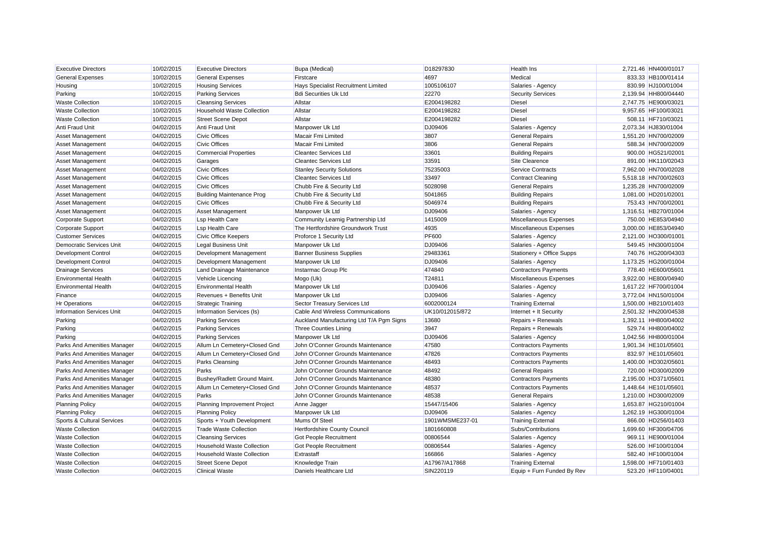| <b>Executive Directors</b>       | 10/02/2015 | <b>Executive Directors</b>        | Bupa (Medical)                           | D18297830       | <b>Health Ins</b>           | 2,721.46 HN400/01017 |
|----------------------------------|------------|-----------------------------------|------------------------------------------|-----------------|-----------------------------|----------------------|
| <b>General Expenses</b>          | 10/02/2015 | <b>General Expenses</b>           | Firstcare                                | 4697            | Medical                     | 833.33 HB100/01414   |
| Housing                          | 10/02/2015 | <b>Housing Services</b>           | Hays Specialist Recruitment Limited      | 1005106107      | Salaries - Agency           | 830.99 HJ100/01004   |
| Parking                          | 10/02/2015 | <b>Parking Services</b>           | <b>Bdi Securities Uk Ltd</b>             | 22270           | <b>Security Services</b>    | 2,139.94 HH800/04440 |
| <b>Waste Collection</b>          | 10/02/2015 | <b>Cleansing Services</b>         | Allstar                                  | E2004198282     | <b>Diesel</b>               | 2,747.75 HE900/03021 |
| <b>Waste Collection</b>          | 10/02/2015 | <b>Household Waste Collection</b> | Allstar                                  | E2004198282     | Diesel                      | 9,957.65 HF100/03021 |
| <b>Waste Collection</b>          | 10/02/2015 | <b>Street Scene Depot</b>         | Allstar                                  | E2004198282     | <b>Diesel</b>               | 508.11 HF710/03021   |
| Anti Fraud Unit                  | 04/02/2015 | Anti Fraud Unit                   | Manpower Uk Ltd                          | DJ09406         | Salaries - Agency           | 2,073.34 HJ830/01004 |
| <b>Asset Management</b>          | 04/02/2015 | <b>Civic Offices</b>              | Macair Fmi Limited                       | 3807            | <b>General Repairs</b>      | 1,551.20 HN700/02009 |
| <b>Asset Management</b>          | 04/02/2015 | <b>Civic Offices</b>              | <b>Macair Fmi Limited</b>                | 3806            | <b>General Repairs</b>      | 588.34 HN700/02009   |
| Asset Management                 | 04/02/2015 | <b>Commercial Properties</b>      | <b>Cleantec Services Ltd</b>             | 33601           | <b>Building Repairs</b>     | 900.00 HG521/02001   |
| <b>Asset Management</b>          | 04/02/2015 | Garages                           | <b>Cleantec Services Ltd</b>             | 33591           | Site Clearence              | 891.00 HK110/02043   |
| <b>Asset Management</b>          | 04/02/2015 | <b>Civic Offices</b>              | <b>Stanley Security Solutions</b>        | 75235003        | Service Contracts           | 7,962.00 HN700/02028 |
| <b>Asset Management</b>          | 04/02/2015 | <b>Civic Offices</b>              | <b>Cleantec Services Ltd</b>             | 33497           | <b>Contract Cleaning</b>    | 5,518.18 HN700/02603 |
| Asset Management                 | 04/02/2015 | <b>Civic Offices</b>              | Chubb Fire & Security Ltd                | 5028098         | <b>General Repairs</b>      | 1,235.28 HN700/02009 |
| Asset Management                 | 04/02/2015 | <b>Building Maintenance Prog</b>  | Chubb Fire & Security Ltd                | 5041865         | <b>Building Repairs</b>     | 1,081.00 HD201/02001 |
| <b>Asset Management</b>          | 04/02/2015 | <b>Civic Offices</b>              | Chubb Fire & Security Ltd                | 5046974         | <b>Building Repairs</b>     | 753.43 HN700/02001   |
| <b>Asset Management</b>          | 04/02/2015 | <b>Asset Management</b>           | Manpower Uk Ltd                          | DJ09406         | Salaries - Agency           | 1.316.51 HB270/01004 |
| Corporate Support                | 04/02/2015 | <b>Lsp Health Care</b>            | Community Learnig Partnership Ltd        | 1415009         | Miscellaneous Expenses      | 750.00 HE853/04940   |
| Corporate Support                | 04/02/2015 | <b>Lsp Health Care</b>            | The Hertfordshire Groundwork Trust       | 4935            | Miscellaneous Expenses      | 3,000.00 HE853/04940 |
| <b>Customer Services</b>         | 04/02/2015 | Civic Office Keepers              | Proforce 1 Security Ltd                  | <b>PF600</b>    | Salaries - Agency           | 2,121.00 HO300/01001 |
| <b>Democratic Services Unit</b>  | 04/02/2015 | <b>Legal Business Unit</b>        | Manpower Uk Ltd                          | DJ09406         | Salaries - Agency           | 549.45 HN300/01004   |
| <b>Development Control</b>       | 04/02/2015 | Development Management            | <b>Banner Business Supplies</b>          | 29483361        | Stationery + Office Supps   | 740.76 HG200/04303   |
| <b>Development Control</b>       | 04/02/2015 | Development Management            | Manpower Uk Ltd                          | DJ09406         | Salaries - Agency           | 1,173.25 HG200/01004 |
| <b>Drainage Services</b>         | 04/02/2015 | Land Drainage Maintenance         | Instarmac Group Plc                      | 474840          | <b>Contractors Payments</b> | 778.40 HE600/05601   |
| <b>Environmental Health</b>      | 04/02/2015 | Vehicle Licencing                 | Mogo (Uk)                                | T24811          | Miscellaneous Expenses      | 3,922.00 HE800/04940 |
| <b>Environmental Health</b>      | 04/02/2015 | <b>Environmental Health</b>       | Manpower Uk Ltd                          | DJ09406         | Salaries - Agency           | 1,617.22 HF700/01004 |
| Finance                          | 04/02/2015 | Revenues + Benefits Unit          | Manpower Uk Ltd                          | DJ09406         | Salaries - Agency           | 3,772.04 HN150/01004 |
| <b>Hr Operations</b>             | 04/02/2015 | <b>Strategic Training</b>         | Sector Treasury Services Ltd             | 6002000124      | <b>Training External</b>    | 1,500.00 HB210/01403 |
| <b>Information Services Unit</b> | 04/02/2015 | Information Services (Is)         | Cable And Wireless Communications        | UK10/012015/872 | Internet + It Security      | 2,501.32 HN200/04538 |
| Parking                          | 04/02/2015 | <b>Parking Services</b>           | Auckland Manufacturing Ltd T/A Pgm Signs | 13680           | Repairs + Renewals          | 1,392.11 HH800/04002 |
| Parking                          | 04/02/2015 | <b>Parking Services</b>           | <b>Three Counties Lining</b>             | 3947            | Repairs + Renewals          | 529.74 HH800/04002   |
| Parking                          | 04/02/2015 | <b>Parking Services</b>           | Manpower Uk Ltd                          | DJ09406         | Salaries - Agency           | 1,042.56 HH800/01004 |
| Parks And Amenities Manager      | 04/02/2015 | Allum Ln Cemetery+Closed Gnd      | John O'Conner Grounds Maintenance        | 47580           | <b>Contractors Payments</b> | 1,901.34 HE101/05601 |
| Parks And Amenities Manager      | 04/02/2015 | Allum Ln Cemetery+Closed Gnd      | John O'Conner Grounds Maintenance        | 47826           | <b>Contractors Payments</b> | 832.97 HE101/05601   |
| Parks And Amenities Manager      | 04/02/2015 | Parks Cleansing                   | John O'Conner Grounds Maintenance        | 48493           | <b>Contractors Payments</b> | 1,400.00 HD302/05601 |
| Parks And Amenities Manager      | 04/02/2015 | Parks                             | John O'Conner Grounds Maintenance        | 48492           | <b>General Repairs</b>      | 720.00 HD300/02009   |
| Parks And Amenities Manager      | 04/02/2015 | Bushey/Radlett Ground Maint.      | John O'Conner Grounds Maintenance        | 48380           | Contractors Payments        | 2,195.00 HD371/05601 |
| Parks And Amenities Manager      | 04/02/2015 | Allum Ln Cemetery+Closed Gnd      | John O'Conner Grounds Maintenance        | 48537           | <b>Contractors Payments</b> | 1.448.64 HE101/05601 |
| Parks And Amenities Manager      | 04/02/2015 | Parks                             | John O'Conner Grounds Maintenance        | 48538           | <b>General Repairs</b>      | 1,210.00 HD300/02009 |
| <b>Planning Policy</b>           | 04/02/2015 | Planning Improvement Project      | Anne Jagger                              | 15447/15406     | Salaries - Agency           | 1.653.87 HG210/01004 |
| <b>Planning Policy</b>           | 04/02/2015 | <b>Planning Policy</b>            | Manpower Uk Ltd                          | DJ09406         | Salaries - Agency           | 1,262.19 HG300/01004 |
| Sports & Cultural Services       | 04/02/2015 | Sports + Youth Development        | Mums Of Steel                            | 1901WMSME237-01 | <b>Training External</b>    | 866.00 HD256/01403   |
| <b>Waste Collection</b>          | 04/02/2015 | <b>Trade Waste Collection</b>     | Hertfordshire County Council             | 1801660808      | Subs/Contributions          | 1,699.60 HF300/04706 |
| <b>Waste Collection</b>          | 04/02/2015 | <b>Cleansing Services</b>         | <b>Got People Recruitment</b>            | 00806544        | Salaries - Agency           | 969.11 HE900/01004   |
| <b>Waste Collection</b>          | 04/02/2015 | <b>Household Waste Collection</b> | <b>Got People Recruitment</b>            | 00806544        | Salaries - Agency           | 526.00 HF100/01004   |
| <b>Waste Collection</b>          | 04/02/2015 | <b>Household Waste Collection</b> | Extrastaff                               | 166866          | Salaries - Agency           | 582.40 HF100/01004   |
| <b>Waste Collection</b>          | 04/02/2015 | <b>Street Scene Depot</b>         | Knowledge Train                          | A17967/A17868   | <b>Training External</b>    | 1,598.00 HF710/01403 |
| <b>Waste Collection</b>          | 04/02/2015 | <b>Clinical Waste</b>             | Daniels Healthcare Ltd                   | SIN220119       | Equip + Furn Funded By Rev  | 523.20 HF110/04001   |
|                                  |            |                                   |                                          |                 |                             |                      |